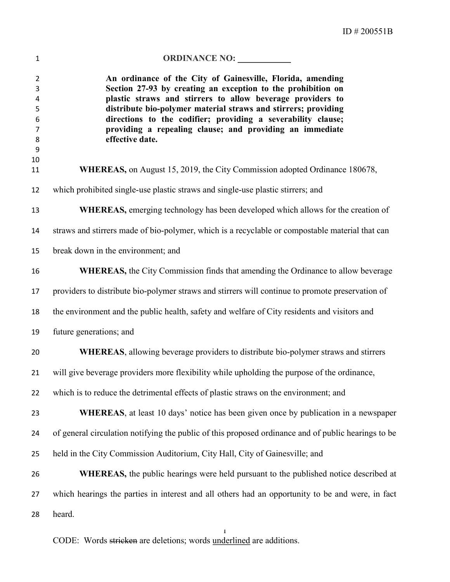| $\mathbf 1$                                             | ORDINANCE NO: ___________                                                                                                                                                                                                                                                                                                                                                                                 |
|---------------------------------------------------------|-----------------------------------------------------------------------------------------------------------------------------------------------------------------------------------------------------------------------------------------------------------------------------------------------------------------------------------------------------------------------------------------------------------|
| $\overline{2}$<br>3<br>4<br>5<br>6<br>7<br>8<br>9<br>10 | An ordinance of the City of Gainesville, Florida, amending<br>Section 27-93 by creating an exception to the prohibition on<br>plastic straws and stirrers to allow beverage providers to<br>distribute bio-polymer material straws and stirrers; providing<br>directions to the codifier; providing a severability clause;<br>providing a repealing clause; and providing an immediate<br>effective date. |
| 11                                                      | <b>WHEREAS</b> , on August 15, 2019, the City Commission adopted Ordinance 180678,                                                                                                                                                                                                                                                                                                                        |
| 12                                                      | which prohibited single-use plastic straws and single-use plastic stirrers; and                                                                                                                                                                                                                                                                                                                           |
| 13                                                      | <b>WHEREAS</b> , emerging technology has been developed which allows for the creation of                                                                                                                                                                                                                                                                                                                  |
| 14                                                      | straws and stirrers made of bio-polymer, which is a recyclable or compostable material that can                                                                                                                                                                                                                                                                                                           |
| 15                                                      | break down in the environment; and                                                                                                                                                                                                                                                                                                                                                                        |
| 16                                                      | <b>WHEREAS</b> , the City Commission finds that amending the Ordinance to allow beverage                                                                                                                                                                                                                                                                                                                  |
| 17                                                      | providers to distribute bio-polymer straws and stirrers will continue to promote preservation of                                                                                                                                                                                                                                                                                                          |
| 18                                                      | the environment and the public health, safety and welfare of City residents and visitors and                                                                                                                                                                                                                                                                                                              |
| 19                                                      | future generations; and                                                                                                                                                                                                                                                                                                                                                                                   |
| 20                                                      | WHEREAS, allowing beverage providers to distribute bio-polymer straws and stirrers                                                                                                                                                                                                                                                                                                                        |
| 21                                                      | will give beverage providers more flexibility while upholding the purpose of the ordinance,                                                                                                                                                                                                                                                                                                               |
| 22                                                      | which is to reduce the detrimental effects of plastic straws on the environment; and                                                                                                                                                                                                                                                                                                                      |
| 23                                                      | WHEREAS, at least 10 days' notice has been given once by publication in a newspaper                                                                                                                                                                                                                                                                                                                       |
| 24                                                      | of general circulation notifying the public of this proposed ordinance and of public hearings to be                                                                                                                                                                                                                                                                                                       |
| 25                                                      | held in the City Commission Auditorium, City Hall, City of Gainesville; and                                                                                                                                                                                                                                                                                                                               |
| 26                                                      | <b>WHEREAS</b> , the public hearings were held pursuant to the published notice described at                                                                                                                                                                                                                                                                                                              |
| 27                                                      | which hearings the parties in interest and all others had an opportunity to be and were, in fact                                                                                                                                                                                                                                                                                                          |
| 28                                                      | heard.                                                                                                                                                                                                                                                                                                                                                                                                    |

CODE: Words stricken are deletions; words underlined are additions.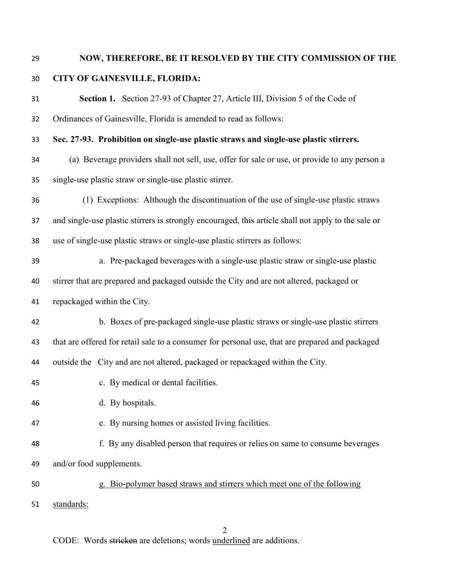## NOW, THEREFORE, BE IT RESOLVED BY THE CITY COMMISSION OF THE CITY OF GAINESVILLE, FLORIDA:

| 31 | Section 1. Section 27-93 of Chapter 27, Article III, Division 5 of the Code of                      |  |  |
|----|-----------------------------------------------------------------------------------------------------|--|--|
| 32 | Ordinances of Gainesville, Florida is amended to read as follows:                                   |  |  |
| 33 | Sec. 27-93. Prohibition on single-use plastic straws and single-use plastic stirrers.               |  |  |
| 34 | (a) Beverage providers shall not sell, use, offer for sale or use, or provide to any person a       |  |  |
| 35 | single-use plastic straw or single-use plastic stirrer.                                             |  |  |
| 36 | (1) Exceptions: Although the discontinuation of the use of single-use plastic straws                |  |  |
| 37 | and single-use plastic stirrers is strongly encouraged, this article shall not apply to the sale or |  |  |
| 38 | use of single-use plastic straws or single-use plastic stirrers as follows:                         |  |  |
| 39 | a. Pre-packaged beverages with a single-use plastic straw or single-use plastic                     |  |  |
| 40 | stirrer that are prepared and packaged outside the City and are not altered, packaged or            |  |  |
| 41 | repackaged within the City.                                                                         |  |  |
| 42 | b. Boxes of pre-packaged single-use plastic straws or single-use plastic stirrers                   |  |  |
| 43 | that are offered for retail sale to a consumer for personal use, that are prepared and packaged     |  |  |
| 44 | outside the City and are not altered, packaged or repackaged within the City.                       |  |  |
| 45 | c. By medical or dental facilities.                                                                 |  |  |
| 46 | d. By hospitals.                                                                                    |  |  |
| 47 | e. By nursing homes or assisted living facilities.                                                  |  |  |
| 48 | f. By any disabled person that requires or relies on same to consume beverages                      |  |  |
| 49 | and/or food supplements.                                                                            |  |  |
| 50 | g. Bio-polymer based straws and stirrers which meet one of the following                            |  |  |
| 51 | standards:                                                                                          |  |  |

CODE: Words stricken are deletions; words underlined are additions.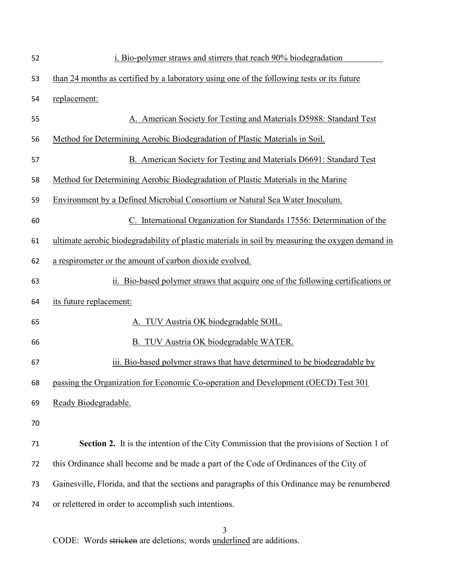| 52 | i. Bio-polymer straws and stirrers that reach 90% biodegradation                                 |
|----|--------------------------------------------------------------------------------------------------|
| 53 | than 24 months as certified by a laboratory using one of the following tests or its future       |
| 54 | replacement:                                                                                     |
| 55 | A. American Society for Testing and Materials D5988: Standard Test                               |
| 56 | Method for Determining Aerobic Biodegradation of Plastic Materials in Soil.                      |
| 57 | B. American Society for Testing and Materials D6691: Standard Test                               |
| 58 | Method for Determining Aerobic Biodegradation of Plastic Materials in the Marine                 |
| 59 | Environment by a Defined Microbial Consortium or Natural Sea Water Inoculum.                     |
| 60 | C. International Organization for Standards 17556: Determination of the                          |
| 61 | ultimate aerobic biodegradability of plastic materials in soil by measuring the oxygen demand in |
| 62 | a respirometer or the amount of carbon dioxide evolved.                                          |
| 63 | ii. Bio-based polymer straws that acquire one of the following certifications or                 |
| 64 | its future replacement:                                                                          |
| 65 | A. TUV Austria OK biodegradable SOIL.                                                            |
| 66 | B. TUV Austria OK biodegradable WATER.                                                           |
| 67 | iii. Bio-based polymer straws that have determined to be biodegradable by                        |
| 68 | passing the Organization for Economic Co-operation and Development (OECD) Test 301               |
| 69 | Ready Biodegradable.                                                                             |
| 70 |                                                                                                  |
| 71 | Section 2. It is the intention of the City Commission that the provisions of Section 1 of        |
| 72 | this Ordinance shall become and be made a part of the Code of Ordinances of the City of          |
| 73 | Gainesville, Florida, and that the sections and paragraphs of this Ordinance may be renumbered   |
| 74 | or relettered in order to accomplish such intentions.                                            |

 CODE: Words stricken are deletions; words underlined are additions.